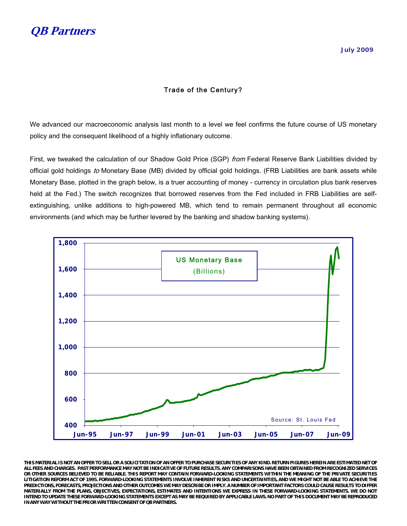

## Trade of the Century?

We advanced our macroeconomic analysis last month to a level we feel confirms the future course of US monetary policy and the consequent likelihood of a highly inflationary outcome.

First, we tweaked the calculation of our Shadow Gold Price (SGP) *from* Federal Reserve Bank Liabilities divided by official gold holdings to Monetary Base (MB) divided by official gold holdings. (FRB Liabilities are bank assets while Monetary Base, plotted in the graph below, is a truer accounting of money - currency in circulation plus bank reserves held at the Fed.) The switch recognizes that borrowed reserves from the Fed included in FRB Liabilities are selfextinguishing, unlike additions to high-powered MB, which tend to remain permanent throughout all economic environments (and which may be further levered by the banking and shadow banking systems).



**THIS MATERIAL IS NOT AN OFFER TO SELL OR A SOLICITATION OF AN OFFER TO PURCHASE SECURITIES OF ANY KIND. RETURN FIGURES HEREIN ARE ESTIMATED NET OF ALL FEES AND CHARGES. PAST PERFORMANCE MAY NOT BE INDICATIVE OF FUTURE RESULTS. ANY COMPARISONS HAVE BEEN OBTAINED FROM RECOGNIZED SERVICES OR OTHER SOURCES BELIEVED TO BE RELIABLE. THIS REPORT MAY CONTAIN FORWARD-LOOKING STATEMENTS WITHIN THE MEANING OF THE PRIVATE SECURITIES LITIGATION REFORM ACT OF 1995. FORWARD-LOOKING STATEMENTS INVOLVE INHERENT RISKS AND UNCERTAINTIES, AND WE MIGHT NOT BE ABLE TO ACHIEVE THE PREDICTIONS, FORECASTS, PROJECTIONS AND OTHER OUTCOMES WE MAY DESCRIBE OR IMPLY. A NUMBER OF IMPORTANT FACTORS COULD CAUSE RESULTS TO DIFFER MATERIALLY FROM THE PLANS, OBJECTIVES, EXPECTATIONS, ESTIMATES AND INTENTIONS WE EXPRESS IN THESE FORWARD-LOOKING STATEMENTS. WE DO NOT INTEND TO UPDATE THESE FORWARD-LOOKING STATEMENTS EXCEPT AS MAY BE REQUIRED BY APPLICABLE LAWS. NO PART OF THIS DOCUMENT MAY BE REPRODUCED IN ANY WAY WITHOUT THE PRIOR WRITTEN CONSENT OF QB PARTNERS.**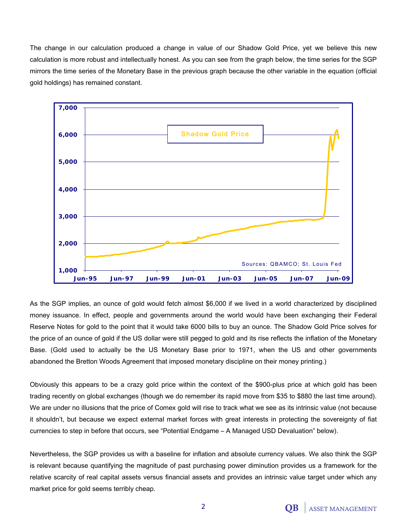The change in our calculation produced a change in value of our Shadow Gold Price, yet we believe this new calculation is more robust and intellectually honest. As you can see from the graph below, the time series for the SGP mirrors the time series of the Monetary Base in the previous graph because the other variable in the equation (official gold holdings) has remained constant.



As the SGP implies, an ounce of gold would fetch almost \$6,000 if we lived in a world characterized by disciplined money issuance. In effect, people and governments around the world would have been exchanging their Federal Reserve Notes for gold to the point that it would take 6000 bills to buy an ounce. The Shadow Gold Price solves for the price of an ounce of gold if the US dollar were still pegged to gold and its rise reflects the inflation of the Monetary Base. (Gold used to actually be the US Monetary Base prior to 1971, when the US and other governments abandoned the Bretton Woods Agreement that imposed monetary discipline on their money printing.)

Obviously this appears to be a crazy gold price within the context of the \$900-plus price at which gold has been trading recently on global exchanges (though we do remember its rapid move from \$35 to \$880 the last time around). We are under no illusions that the price of Comex gold will rise to track what we see as its intrinsic value (not because it shouldn't, but because we expect external market forces with great interests in protecting the sovereignty of fiat currencies to step in before that occurs, see "Potential Endgame – A Managed USD Devaluation" below).

Nevertheless, the SGP provides us with a baseline for inflation and absolute currency values. We also think the SGP is relevant because quantifying the magnitude of past purchasing power diminution provides us a framework for the relative scarcity of real capital assets versus financial assets and provides an intrinsic value target under which any market price for gold seems terribly cheap.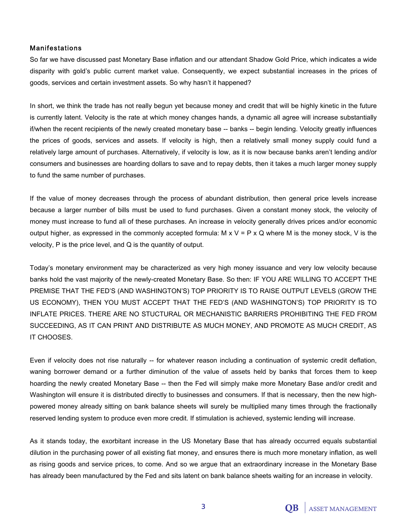### Manifestations

So far we have discussed past Monetary Base inflation and our attendant Shadow Gold Price, which indicates a wide disparity with gold's public current market value. Consequently, we expect substantial increases in the prices of goods, services and certain investment assets. So why hasn't it happened?

In short, we think the trade has not really begun yet because money and credit that will be highly kinetic in the future is currently latent. Velocity is the rate at which money changes hands, a dynamic all agree will increase substantially if/when the recent recipients of the newly created monetary base -- banks -- begin lending. Velocity greatly influences the prices of goods, services and assets. If velocity is high, then a relatively small money supply could fund a relatively large amount of purchases. Alternatively, if velocity is low, as it is now because banks aren't lending and/or consumers and businesses are hoarding dollars to save and to repay debts, then it takes a much larger money supply to fund the same number of purchases.

If the value of money decreases through the process of abundant distribution, then general price levels increase because a larger number of bills must be used to fund purchases. Given a constant money stock, the velocity of money must increase to fund all of these purchases. An increase in velocity generally drives prices and/or economic output higher, as expressed in the commonly accepted formula:  $M \times V = P \times Q$  where M is the money stock, V is the velocity, P is the price level, and Q is the quantity of output.

Today's monetary environment may be characterized as very high money issuance and very low velocity because banks hold the vast majority of the newly-created Monetary Base. So then: IF YOU ARE WILLING TO ACCEPT THE PREMISE THAT THE FED'S (AND WASHINGTON'S) TOP PRIORITY IS TO RAISE OUTPUT LEVELS (GROW THE US ECONOMY), THEN YOU MUST ACCEPT THAT THE FED'S (AND WASHINGTON'S) TOP PRIORITY IS TO INFLATE PRICES. THERE ARE NO STUCTURAL OR MECHANISTIC BARRIERS PROHIBITING THE FED FROM SUCCEEDING, AS IT CAN PRINT AND DISTRIBUTE AS MUCH MONEY, AND PROMOTE AS MUCH CREDIT, AS IT CHOOSES.

Even if velocity does not rise naturally -- for whatever reason including a continuation of systemic credit deflation, waning borrower demand or a further diminution of the value of assets held by banks that forces them to keep hoarding the newly created Monetary Base -- then the Fed will simply make more Monetary Base and/or credit and Washington will ensure it is distributed directly to businesses and consumers. If that is necessary, then the new highpowered money already sitting on bank balance sheets will surely be multiplied many times through the fractionally reserved lending system to produce even more credit. If stimulation is achieved, systemic lending will increase.

As it stands today, the exorbitant increase in the US Monetary Base that has already occurred equals substantial dilution in the purchasing power of all existing fiat money, and ensures there is much more monetary inflation, as well as rising goods and service prices, to come. And so we argue that an extraordinary increase in the Monetary Base has already been manufactured by the Fed and sits latent on bank balance sheets waiting for an increase in velocity.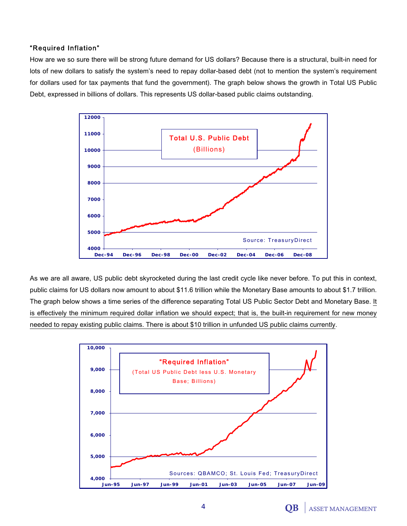# "Required Inflation"

How are we so sure there will be strong future demand for US dollars? Because there is a structural, built-in need for lots of new dollars to satisfy the system's need to repay dollar-based debt (not to mention the system's requirement for dollars used for tax payments that fund the government). The graph below shows the growth in Total US Public Debt, expressed in billions of dollars. This represents US dollar-based public claims outstanding.



As we are all aware, US public debt skyrocketed during the last credit cycle like never before. To put this in context, public claims for US dollars now amount to about \$11.6 trillion while the Monetary Base amounts to about \$1.7 trillion. The graph below shows a time series of the difference separating Total US Public Sector Debt and Monetary Base. It is effectively the minimum required dollar inflation we should expect; that is, the built-in requirement for new money needed to repay existing public claims. There is about \$10 trillion in unfunded US public claims currently.

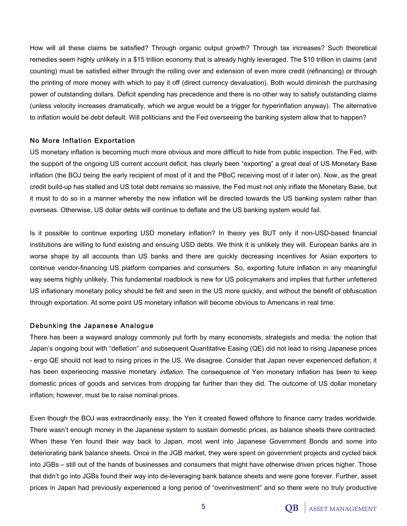How will all these claims be satisfied? Through organic output growth? Through tax increases? Such theoretical remedies seem highly unlikely in a \$15 trillion economy that is already highly leveraged. The \$10 trillion in claims (and counting) must be satisfied either through the rolling over and extension of even more credit (refinancing) or through the printing of more money with which to pay it off (direct currency devaluation). Both would diminish the purchasing power of outstanding dollars. Deficit spending has precedence and there is no other way to satisfy outstanding claims (unless velocity increases dramatically, which we argue would be a trigger for hyperinflation anyway). The alternative to inflation would be debt default. Will politicians and the Fed overseeing the banking system allow that to happen?

### No More Inflation Exportation

US monetary inflation is becoming much more obvious and more difficult to hide from public inspection. The Fed, with the support of the ongoing US current account deficit, has clearly been "exporting" a great deal of US Monetary Base inflation (the BOJ being the early recipient of most of it and the PBoC receiving most of it later on). Now, as the great credit build-up has stalled and US total debt remains so massive, the Fed must not only inflate the Monetary Base, but it must to do so in a manner whereby the new inflation will be directed towards the US banking system rather than overseas. Otherwise, US dollar debts will continue to deflate and the US banking system would fail.

Is it possible to continue exporting USD monetary inflation? In theory yes BUT only if non-USD-based financial institutions are willing to fund existing and ensuing USD debts. We think it is unlikely they will. European banks are in worse shape by all accounts than US banks and there are quickly decreasing incentives for Asian exporters to continue vendor-financing US platform companies and consumers. So, exporting future inflation in any meaningful way seems highly unlikely. This fundamental roadblock is new for US policymakers and implies that further unfettered US inflationary monetary policy should be felt and seen in the US more quickly, and without the benefit of obfuscation through exportation. At some point US monetary inflation will become obvious to Americans in real time.

### Debunking the Japanese Analogue

There has been a wayward analogy commonly put forth by many economists, strategists and media: the notion that Japan's ongoing bout with "deflation" and subsequent Quantitative Easing (QE) did not lead to rising Japanese prices - ergo QE should not lead to rising prices in the US. We disagree. Consider that Japan never experienced deflation; it has been experiencing massive monetary *inflation*. The consequence of Yen monetary inflation has been to keep domestic prices of goods and services from dropping far further than they did. The outcome of US dollar monetary inflation; however, must be to raise nominal prices.

Even though the BOJ was extraordinarily easy, the Yen it created flowed offshore to finance carry trades worldwide. There wasn't enough money in the Japanese system to sustain domestic prices, as balance sheets there contracted. When these Yen found their way back to Japan, most went into Japanese Government Bonds and some into deteriorating bank balance sheets. Once in the JGB market, they were spent on government projects and cycled back into JGBs – still out of the hands of businesses and consumers that might have otherwise driven prices higher. Those that didn't go into JGBs found their way into de-leveraging bank balance sheets and were gone forever. Further, asset prices in Japan had previously experienced a long period of "overinvestment" and so there were no truly productive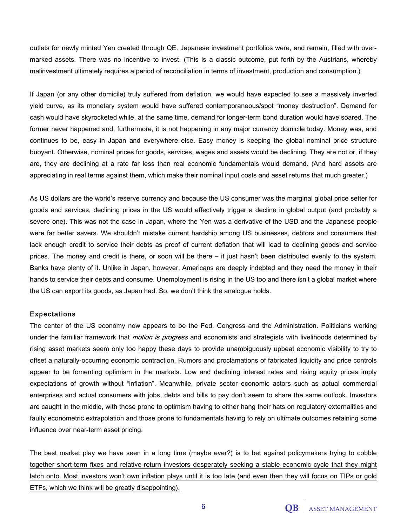outlets for newly minted Yen created through QE. Japanese investment portfolios were, and remain, filled with overmarked assets. There was no incentive to invest. (This is a classic outcome, put forth by the Austrians, whereby malinvestment ultimately requires a period of reconciliation in terms of investment, production and consumption.)

If Japan (or any other domicile) truly suffered from deflation, we would have expected to see a massively inverted yield curve, as its monetary system would have suffered contemporaneous/spot "money destruction". Demand for cash would have skyrocketed while, at the same time, demand for longer-term bond duration would have soared. The former never happened and, furthermore, it is not happening in any major currency domicile today. Money was, and continues to be, easy in Japan and everywhere else. Easy money is keeping the global nominal price structure buoyant. Otherwise, nominal prices for goods, services, wages and assets would be declining. They are not or, if they are, they are declining at a rate far less than real economic fundamentals would demand. (And hard assets are appreciating in real terms against them, which make their nominal input costs and asset returns that much greater.)

As US dollars are the world's reserve currency and because the US consumer was the marginal global price setter for goods and services, declining prices in the US would effectively trigger a decline in global output (and probably a severe one). This was not the case in Japan, where the Yen was a derivative of the USD and the Japanese people were far better savers. We shouldn't mistake current hardship among US businesses, debtors and consumers that lack enough credit to service their debts as proof of current deflation that will lead to declining goods and service prices. The money and credit is there, or soon will be there – it just hasn't been distributed evenly to the system. Banks have plenty of it. Unlike in Japan, however, Americans are deeply indebted and they need the money in their hands to service their debts and consume. Unemployment is rising in the US too and there isn't a global market where the US can export its goods, as Japan had. So, we don't think the analogue holds.

#### Expectations

The center of the US economy now appears to be the Fed, Congress and the Administration. Politicians working under the familiar framework that *motion is progress* and economists and strategists with livelihoods determined by rising asset markets seem only too happy these days to provide unambiguously upbeat economic visibility to try to offset a naturally-occurring economic contraction. Rumors and proclamations of fabricated liquidity and price controls appear to be fomenting optimism in the markets. Low and declining interest rates and rising equity prices imply expectations of growth without "inflation". Meanwhile, private sector economic actors such as actual commercial enterprises and actual consumers with jobs, debts and bills to pay don't seem to share the same outlook. Investors are caught in the middle, with those prone to optimism having to either hang their hats on regulatory externalities and faulty econometric extrapolation and those prone to fundamentals having to rely on ultimate outcomes retaining some influence over near-term asset pricing.

The best market play we have seen in a long time (maybe ever?) is to bet against policymakers trying to cobble together short-term fixes and relative-return investors desperately seeking a stable economic cycle that they might latch onto. Most investors won't own inflation plays until it is too late (and even then they will focus on TIPs or gold ETFs, which we think will be greatly disappointing).